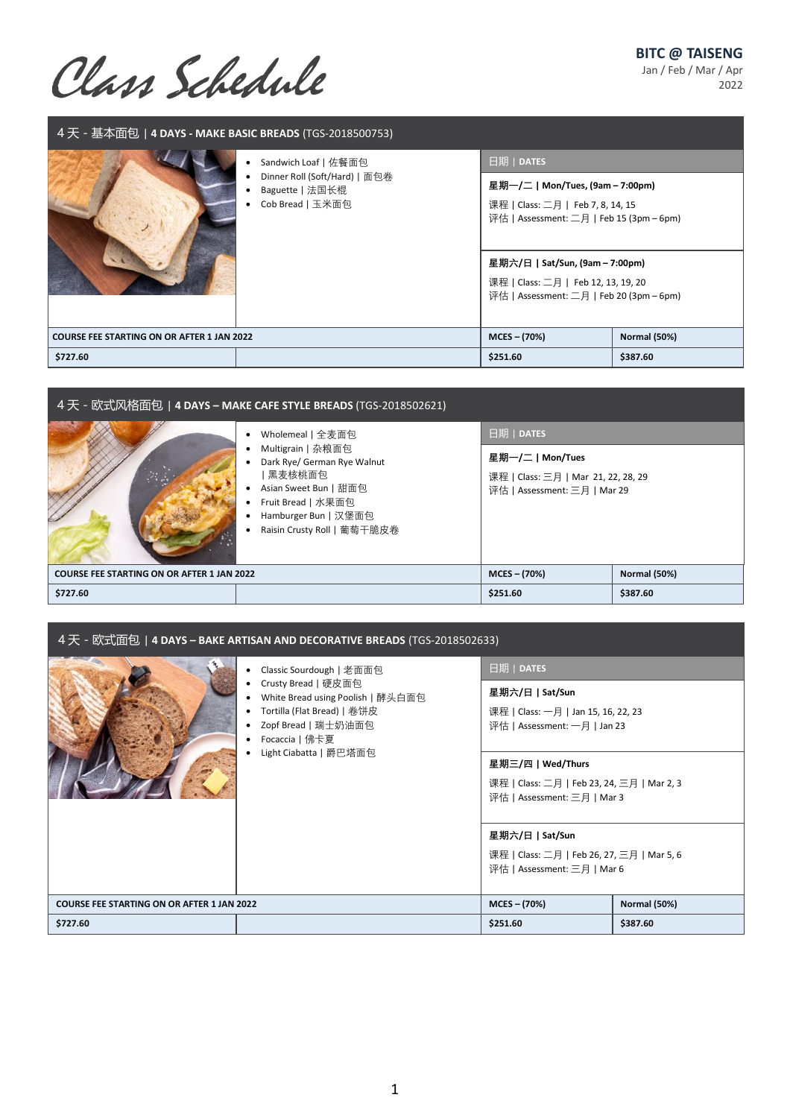## **BITC @ TAISENG**

Jan / Feb / Mar / Apr 2022

Class Schedule

| 4 天 - 基本面包 4 DAYS - MAKE BASIC BREADS (TGS-2018500753) |                                                                                              |                                                                                                                                                                                                                                                       |                     |  |  |
|--------------------------------------------------------|----------------------------------------------------------------------------------------------|-------------------------------------------------------------------------------------------------------------------------------------------------------------------------------------------------------------------------------------------------------|---------------------|--|--|
|                                                        | Sandwich Loaf   佐餐面包<br>Dinner Roll (Soft/Hard)   面包卷<br>Baguette   法国长棍<br>Cob Bread   玉米面包 | 日期   DATES<br>星期一/二   Mon/Tues, (9am – 7:00pm)<br>课程   Class: 二月   Feb 7, 8, 14, 15<br>评估   Assessment: 二月   Feb 15 (3pm – 6pm)<br>星期六/日   Sat/Sun, (9am – 7:00pm)<br>课程   Class: 二月   Feb 12, 13, 19, 20<br>评估   Assessment: 二月   Feb 20 (3pm – 6pm) |                     |  |  |
| <b>COURSE FEE STARTING ON OR AFTER 1 JAN 2022</b>      |                                                                                              | $MCES - (70%)$                                                                                                                                                                                                                                        | <b>Normal (50%)</b> |  |  |
| \$727.60                                               |                                                                                              | \$251.60                                                                                                                                                                                                                                              | \$387.60            |  |  |

| 4 天 - 欧式风格面包   <b>4 DAYS – MAKE CAFE STYLE BREADS</b> (TGS-2018502621) |                                                                                                                                                                                      |                                                                                                                           |                     |  |
|------------------------------------------------------------------------|--------------------------------------------------------------------------------------------------------------------------------------------------------------------------------------|---------------------------------------------------------------------------------------------------------------------------|---------------------|--|
|                                                                        | Wholemeal   全麦面包<br>Multigrain   杂粮面包<br>Dark Rye/ German Rye Walnut<br>黑麦核桃面包<br>Asian Sweet Bun   甜面包<br>Fruit Bread   水果面包<br>Hamburger Bun   汉堡面包<br>Raisin Crusty Roll   葡萄干脆皮卷 | $\sqrt{\frac{1}{100}}$   DATES<br>星期一/二   Mon/Tues<br>课程   Class: 三月   Mar 21, 22, 28, 29<br>评估   Assessment: 三月   Mar 29 |                     |  |
| <b>COURSE FEE STARTING ON OR AFTER 1 JAN 2022</b>                      |                                                                                                                                                                                      | $MCES - (70%)$                                                                                                            | <b>Normal (50%)</b> |  |
| \$727.60                                                               |                                                                                                                                                                                      | \$251.60                                                                                                                  | \$387.60            |  |

| 4天 - 欧式面包   4 DAYS – BAKE ARTISAN AND DECORATIVE BREADS (TGS-2018502633)                                                                                                               |                                                                                                                                                                                                        |                                                                                              |                     |  |
|----------------------------------------------------------------------------------------------------------------------------------------------------------------------------------------|--------------------------------------------------------------------------------------------------------------------------------------------------------------------------------------------------------|----------------------------------------------------------------------------------------------|---------------------|--|
| Classic Sourdough   老面面包<br>Crusty Bread   硬皮面包<br>White Bread using Poolish   酵头白面包<br>Tortilla (Flat Bread)   卷饼皮<br>Zopf Bread   瑞士奶油面包<br>Focaccia   佛卡夏<br>Light Ciabatta   爵巴塔面包 | 日期   DATES<br>星期六/日   Sat/Sun<br>课程   Class: 一月   Jan 15, 16, 22, 23<br>评估   Assessment: 一月   Jan 23<br>星期三/四   Wed/Thurs<br>课程   Class: 二月   Feb 23, 24, 三月   Mar 2, 3<br>评估   Assessment: 三月   Mar 3 |                                                                                              |                     |  |
|                                                                                                                                                                                        |                                                                                                                                                                                                        | 星期六/日   Sat/Sun<br>课程   Class: 二月   Feb 26, 27, 三月   Mar 5, 6<br>评估   Assessment: 三月   Mar 6 |                     |  |
| <b>COURSE FEE STARTING ON OR AFTER 1 JAN 2022</b>                                                                                                                                      |                                                                                                                                                                                                        | $MCES - (70%)$                                                                               | <b>Normal (50%)</b> |  |
| \$727.60                                                                                                                                                                               |                                                                                                                                                                                                        | \$251.60                                                                                     | \$387.60            |  |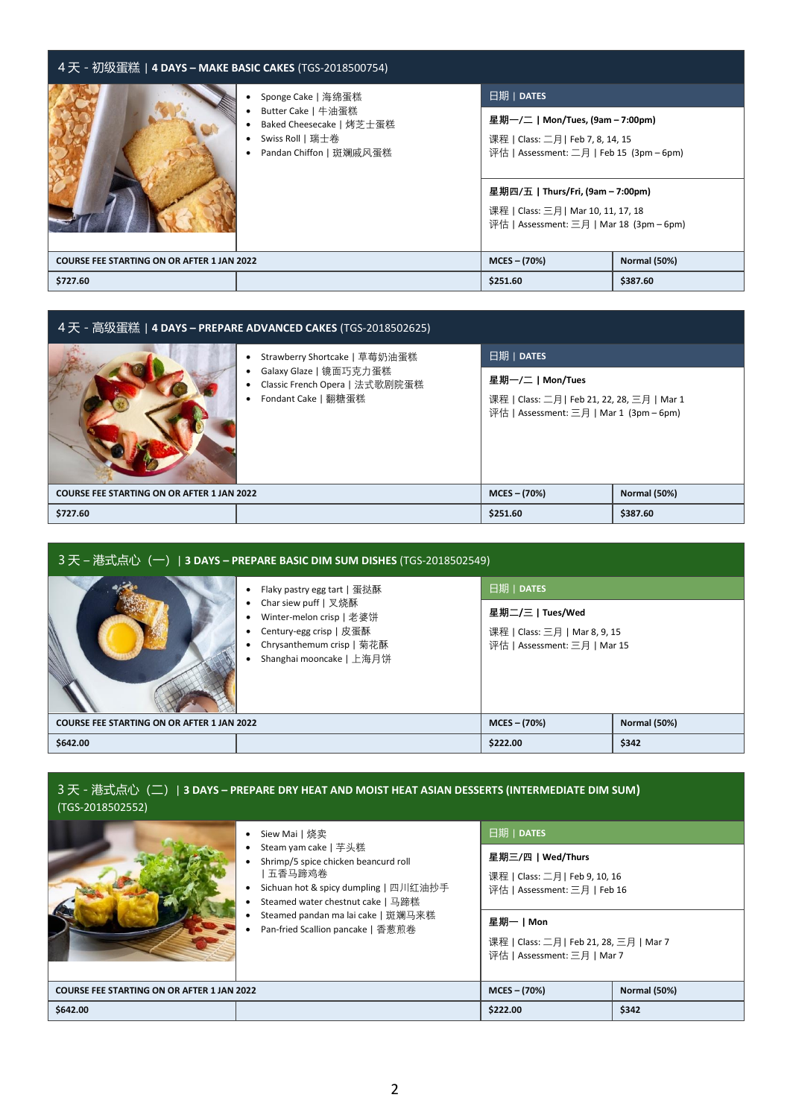| 4 天 - 初级蛋糕   <b>4 DAYS – MAKE BASIC CAKES</b> (TGS-2018500754) |                                                                                                                     |                                                                                                                                                                                                                                                        |              |  |
|----------------------------------------------------------------|---------------------------------------------------------------------------------------------------------------------|--------------------------------------------------------------------------------------------------------------------------------------------------------------------------------------------------------------------------------------------------------|--------------|--|
|                                                                | Sponge Cake   海绵蛋糕<br>Butter Cake   牛油蛋糕<br>Baked Cheesecake   烤芝士蛋糕<br>Swiss Roll   瑞士卷<br>Pandan Chiffon   斑斓戚风蛋糕 | 日期   DATES<br>星期一/二   Mon/Tues, (9am – 7:00pm)<br>课程   Class: 二月   Feb 7, 8, 14, 15<br>评估   Assessment: 二月   Feb 15 (3pm – 6pm)<br>星期四/五   Thurs/Fri, (9am – 7:00pm)<br>课程   Class: 三月  Mar 10, 11, 17, 18<br>评估   Assessment: 三月   Mar 18 (3pm – 6pm) |              |  |
| <b>COURSE FEE STARTING ON OR AFTER 1 JAN 2022</b>              |                                                                                                                     | $MCES - (70%)$                                                                                                                                                                                                                                         | Normal (50%) |  |
| \$727.60                                                       |                                                                                                                     | \$251.60                                                                                                                                                                                                                                               | \$387.60     |  |

| 4天 - 高级蛋糕   4 DAYS – PREPARE ADVANCED CAKES (TGS-2018502625) |                                                                                                                  |                                                                                                          |                     |  |
|--------------------------------------------------------------|------------------------------------------------------------------------------------------------------------------|----------------------------------------------------------------------------------------------------------|---------------------|--|
|                                                              | Strawberry Shortcake   草莓奶油蛋糕<br>Galaxy Glaze   镜面巧克力蛋糕<br>Classic French Opera   法式歌剧院蛋糕<br>Fondant Cake   翻糖蛋糕 | 日期   DATES                                                                                               |                     |  |
|                                                              |                                                                                                                  | 星期一/二丨Mon/Tues<br>课程   Class: 二月   Feb 21, 22, 28, 三月   Mar 1<br>评估   Assessment: 三月   Mar 1 (3pm – 6pm) |                     |  |
| <b>COURSE FEE STARTING ON OR AFTER 1 JAN 2022</b>            |                                                                                                                  | $MCES - (70%)$                                                                                           | <b>Normal (50%)</b> |  |
| \$727.60                                                     |                                                                                                                  | \$251.60                                                                                                 | \$387.60            |  |

| _3 天 – 港式点心(一)  <b>3 DAYS – PREPARE BASIC DIM SUM DISHES</b> (TGS-2018502549) |                                                                                                                                                                     |                                                                                                 |                     |  |
|-------------------------------------------------------------------------------|---------------------------------------------------------------------------------------------------------------------------------------------------------------------|-------------------------------------------------------------------------------------------------|---------------------|--|
|                                                                               | Flaky pastry egg tart   蛋挞酥<br>Char siew puff   叉烧酥<br>Winter-melon crisp   老婆饼<br>Century-egg crisp   皮蛋酥<br>Chrysanthemum crisp   菊花酥<br>Shanghai mooncake   上海月饼 | 日期   DATES<br>星期二/三   Tues/Wed<br>课程   Class: 三月   Mar 8, 9, 15<br>评估   Assessment: 三月   Mar 15 |                     |  |
| <b>COURSE FEE STARTING ON OR AFTER 1 JAN 2022</b>                             |                                                                                                                                                                     | $MCES - (70%)$                                                                                  | <b>Normal (50%)</b> |  |
| \$642.00                                                                      |                                                                                                                                                                     | \$222.00                                                                                        | \$342               |  |

## 3 天 - 港式点心(二)| **3 DAYS – PREPARE DRY HEAT AND MOIST HEAT ASIAN DESSERTS (INTERMEDIATE DIM SUM)**  (TGS-2018502552)

|                                                   | Siew Mai丨烧卖                                                                                                                                                                                                                        | 日期   DATES                                                                                                                                                               |                     |
|---------------------------------------------------|------------------------------------------------------------------------------------------------------------------------------------------------------------------------------------------------------------------------------------|--------------------------------------------------------------------------------------------------------------------------------------------------------------------------|---------------------|
|                                                   | Steam yam cake   芊头糕<br>Shrimp/5 spice chicken beancurd roll<br>  五香马蹄鸡卷 <br>Sichuan hot & spicy dumpling   四川红油抄手<br>Steamed water chestnut cake   马蹄糕<br>Steamed pandan ma lai cake   斑斓马来糕<br>Pan-fried Scallion pancake   香葱煎卷 | 星期三/四   Wed/Thurs<br>课程   Class: 二月   Feb 9, 10, 16<br>评估   Assessment: 三月   Feb 16<br>星期一丨Mon<br>课程   Class: 二月   Feb 21, 28, 三月   Mar 7<br>评估   Assessment: 三月   Mar 7 |                     |
| <b>COURSE FEE STARTING ON OR AFTER 1 JAN 2022</b> |                                                                                                                                                                                                                                    | $MCES - (70%)$                                                                                                                                                           | <b>Normal (50%)</b> |
| \$642.00                                          |                                                                                                                                                                                                                                    | \$222.00                                                                                                                                                                 | \$342               |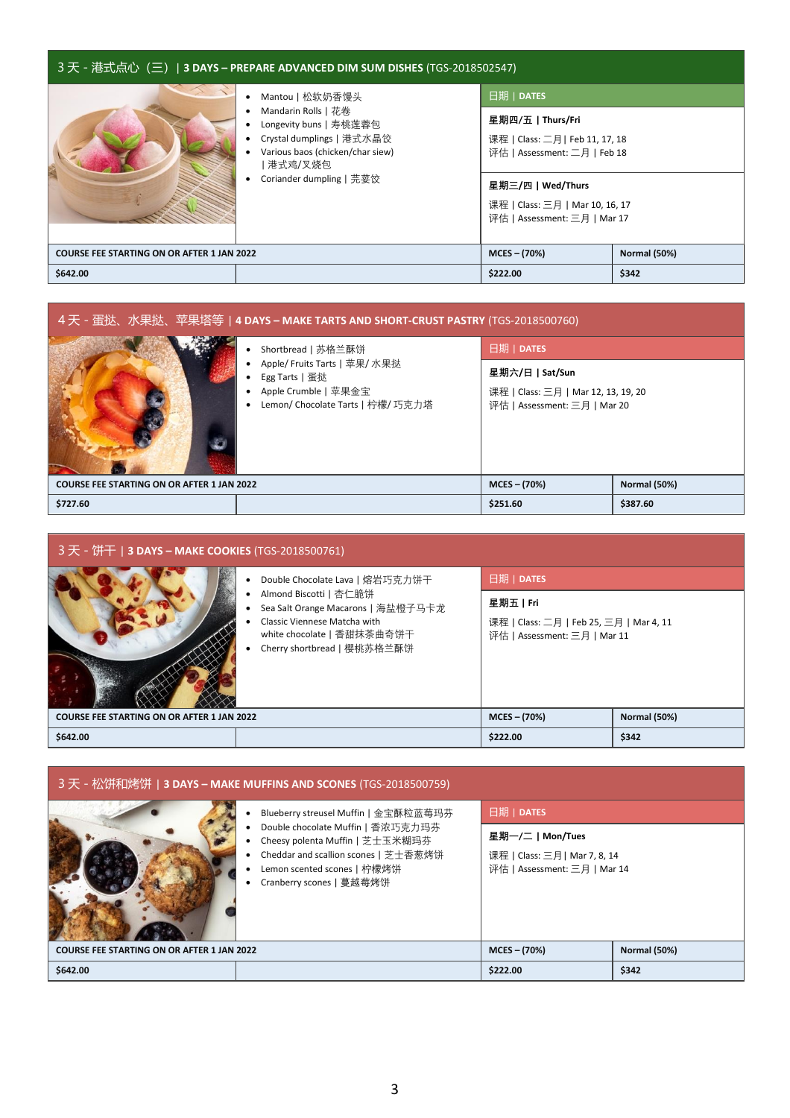| _3 天 - 港式点心(三)  3 DAYS – PREPARE ADVANCED DIM SUM DISHES (TGS-2018502547) |                                                                                                                                                                            |                                                                                                                                                                                          |                     |  |
|---------------------------------------------------------------------------|----------------------------------------------------------------------------------------------------------------------------------------------------------------------------|------------------------------------------------------------------------------------------------------------------------------------------------------------------------------------------|---------------------|--|
|                                                                           | Mantou   松软奶香馒头<br>Mandarin Rolls   花卷<br>Longevity buns   寿桃莲蓉包<br>Crystal dumplings   港式水晶饺<br>Various baos (chicken/char siew)<br>  港式鸡/叉烧包<br>Coriander dumpling   芫荽饺 | 日期   DATES<br>星期四/五   Thurs/Fri<br>课程   Class: 二月   Feb 11, 17, 18<br>评估   Assessment: 二月   Feb 18<br>星期三/四丨Wed/Thurs<br>课程   Class: 三月   Mar 10, 16, 17<br>评估   Assessment: 三月   Mar 17 |                     |  |
| <b>COURSE FEE STARTING ON OR AFTER 1 JAN 2022</b>                         |                                                                                                                                                                            | $MCES - (70%)$                                                                                                                                                                           | <b>Normal (50%)</b> |  |
| \$642.00                                                                  |                                                                                                                                                                            | \$222.00                                                                                                                                                                                 | \$342               |  |

| 4天 - 蛋挞、水果挞、苹果塔等   4 DAYS – MAKE TARTS AND SHORT-CRUST PASTRY (TGS-2018500760) |                                                                                                              |                                                                                        |                     |  |
|--------------------------------------------------------------------------------|--------------------------------------------------------------------------------------------------------------|----------------------------------------------------------------------------------------|---------------------|--|
|                                                                                | Shortbread   苏格兰酥饼                                                                                           | 日期   DATES                                                                             |                     |  |
|                                                                                | Apple/ Fruits Tarts   苹果/ 水果挞<br>Egg Tarts   蛋挞<br>Apple Crumble   苹果金宝<br>Lemon/ Chocolate Tarts   柠檬/ 巧克力塔 | 星期六/日   Sat/Sun<br>课程   Class: 三月   Mar 12, 13, 19, 20<br>评估   Assessment: 三月   Mar 20 |                     |  |
| <b>COURSE FEE STARTING ON OR AFTER 1 JAN 2022</b>                              |                                                                                                              | $MCES - (70%)$                                                                         | <b>Normal (50%)</b> |  |
| \$727.60                                                                       |                                                                                                              | \$251.60                                                                               | \$387.60            |  |

| 3天 - 饼干   3 DAYS - MAKE COOKIES (TGS-2018500761)  |                                                                                                                                                           |                                                                                    |                     |  |
|---------------------------------------------------|-----------------------------------------------------------------------------------------------------------------------------------------------------------|------------------------------------------------------------------------------------|---------------------|--|
|                                                   | Double Chocolate Lava   熔岩巧克力饼干                                                                                                                           | 日期   DATES                                                                         |                     |  |
|                                                   | Almond Biscotti   杏仁脆饼<br>Sea Salt Orange Macarons   海盐橙子马卡龙<br>Classic Viennese Matcha with<br>white chocolate   香甜抹茶曲奇饼干<br>Cherry shortbread   樱桃苏格兰酥饼 | 星期五丨Fri<br>课程   Class: 二月   Feb 25, 三月   Mar 4, 11<br>评估   Assessment: 三月   Mar 11 |                     |  |
| <b>COURSE FEE STARTING ON OR AFTER 1 JAN 2022</b> |                                                                                                                                                           | $MCES - (70%)$                                                                     | <b>Normal (50%)</b> |  |
| \$642.00                                          |                                                                                                                                                           | \$222.00                                                                           | \$342               |  |

| ,3 天 - 松饼和烤饼   <b>з DAYS – MAKE MUFFINS AND SCONES</b> (TGS-2018500759). |                                                                                                                                                                                                                 |                                                                                               |                     |  |
|--------------------------------------------------------------------------|-----------------------------------------------------------------------------------------------------------------------------------------------------------------------------------------------------------------|-----------------------------------------------------------------------------------------------|---------------------|--|
|                                                                          | Blueberry streusel Muffin   金宝酥粒蓝莓玛芬<br>Double chocolate Muffin   香浓巧克力玛芬<br>Cheesy polenta Muffin   芝士玉米糊玛芬<br>Cheddar and scallion scones   芝士香葱烤饼<br>Lemon scented scones   柠檬烤饼<br>Cranberry scones   蔓越莓烤饼 | 日期   DATES<br>星期一/二 Mon/Tues<br>课程   Class: 三月   Mar 7, 8, 14<br>评估   Assessment: 三月   Mar 14 |                     |  |
| <b>COURSE FEE STARTING ON OR AFTER 1 JAN 2022</b>                        |                                                                                                                                                                                                                 | $MCES - (70%)$                                                                                | <b>Normal (50%)</b> |  |
| \$642.00                                                                 |                                                                                                                                                                                                                 | \$222.00                                                                                      | \$342               |  |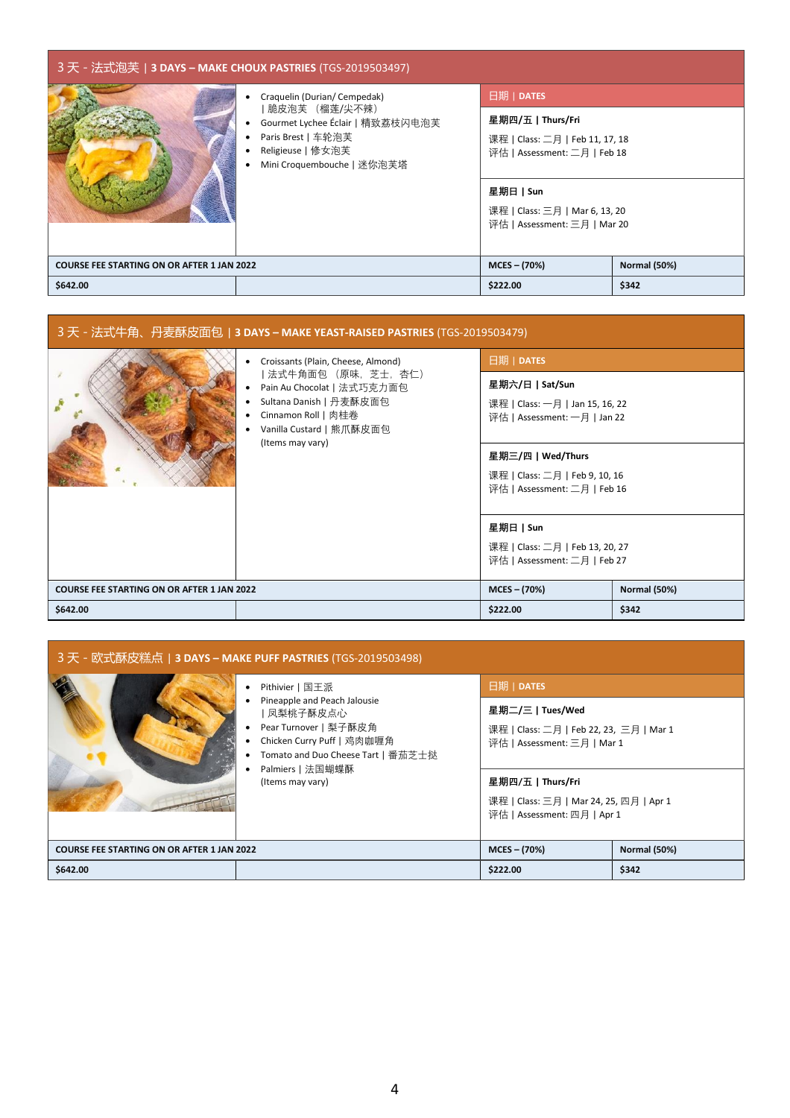| 3天 - 法式泡芙   3 DAYS - MAKE CHOUX PASTRIES (TGS-2019503497) |                                                                                                                                                             |                                                                                                                                                                               |                     |
|-----------------------------------------------------------|-------------------------------------------------------------------------------------------------------------------------------------------------------------|-------------------------------------------------------------------------------------------------------------------------------------------------------------------------------|---------------------|
|                                                           | Craquelin (Durian/ Cempedak)<br> 脆皮泡芙 (榴莲/尖不辣)<br>Gourmet Lychee Éclair   精致荔枝闪电泡芙<br>Paris Brest   车轮泡芙<br>Religieuse   修女泡芙<br>Mini Croquembouche   迷你泡芙塔 | 日期   DATES<br>星期四/五丨Thurs/Fri<br>课程   Class: 二月   Feb 11, 17, 18<br>评估   Assessment: 二月   Feb 18<br>星期日丨Sun<br>课程   Class: 三月   Mar 6, 13, 20<br>评估   Assessment: 三月   Mar 20 |                     |
| <b>COURSE FEE STARTING ON OR AFTER 1 JAN 2022</b>         |                                                                                                                                                             | $MCES - (70%)$                                                                                                                                                                | <b>Normal (50%)</b> |
| \$642.00                                                  |                                                                                                                                                             | \$222.00                                                                                                                                                                      | \$342               |

| 3 天 - 法式牛角、丹麦酥皮面包   <b>3 DAYS – MAKE YEAST-RAISED PASTRIES</b> (TGS-2019503479) |                                                                                                                                                                                           |                                                                                     |                     |
|---------------------------------------------------------------------------------|-------------------------------------------------------------------------------------------------------------------------------------------------------------------------------------------|-------------------------------------------------------------------------------------|---------------------|
|                                                                                 | Croissants (Plain, Cheese, Almond)<br>  法式牛角面包 (原味,芝士,杏仁)<br>Pain Au Chocolat   法式巧克力面包<br>Sultana Danish   丹麦酥皮面包<br>Cinnamon Roll   肉桂卷<br>Vanilla Custard   熊爪酥皮面包<br>(Items may vary) | 日期   DATES                                                                          |                     |
|                                                                                 |                                                                                                                                                                                           | 星期六/日   Sat/Sun<br>课程   Class: 一月   Jan 15, 16, 22<br>评估   Assessment: 一月   Jan 22  |                     |
|                                                                                 |                                                                                                                                                                                           | 星期三/四   Wed/Thurs<br>课程   Class: 二月   Feb 9, 10, 16<br>评估   Assessment: 二月   Feb 16 |                     |
|                                                                                 |                                                                                                                                                                                           | 星期日丨Sun<br>课程   Class: 二月   Feb 13, 20, 27<br>评估   Assessment: 二月   Feb 27          |                     |
| <b>COURSE FEE STARTING ON OR AFTER 1 JAN 2022</b>                               |                                                                                                                                                                                           | $MCES - (70%)$                                                                      | <b>Normal (50%)</b> |
| \$642.00                                                                        |                                                                                                                                                                                           | \$222.00                                                                            | \$342               |

| 3 天 - 欧式酥皮糕点   <b>3 DAYS – MAKE PUFF PASTRIES</b> (TGS-2019503498) |                                                                                                                                                                                                  |                                                                                                                             |       |
|--------------------------------------------------------------------|--------------------------------------------------------------------------------------------------------------------------------------------------------------------------------------------------|-----------------------------------------------------------------------------------------------------------------------------|-------|
| <b>COURSE FEE STARTING ON OR AFTER 1 JAN 2022</b>                  | Pithivier   国王派<br>Pineapple and Peach Jalousie<br>凤梨桃子酥皮点心<br>Pear Turnover   梨子酥皮角<br>Chicken Curry Puff   鸡肉咖喱角<br>Tomato and Duo Cheese Tart   番茄芝士挞<br>Palmiers   法国蝴蝶酥<br>(Items may vary) | 日期   DATES<br>星期二/三丨Tues/Wed<br>课程   Class: 二月   Feb 22, 23, 三月   Mar 1<br>评估   Assessment: 三月   Mar 1<br>星期四/五   Thurs/Fri |       |
|                                                                    |                                                                                                                                                                                                  | 课程   Class: 三月   Mar 24, 25, 四月   Apr 1<br>评估   Assessment: 四月   Apr 1<br><b>Normal (50%)</b><br>$MCES - (70%)$             |       |
|                                                                    |                                                                                                                                                                                                  |                                                                                                                             |       |
| \$642.00                                                           |                                                                                                                                                                                                  | \$222.00                                                                                                                    | \$342 |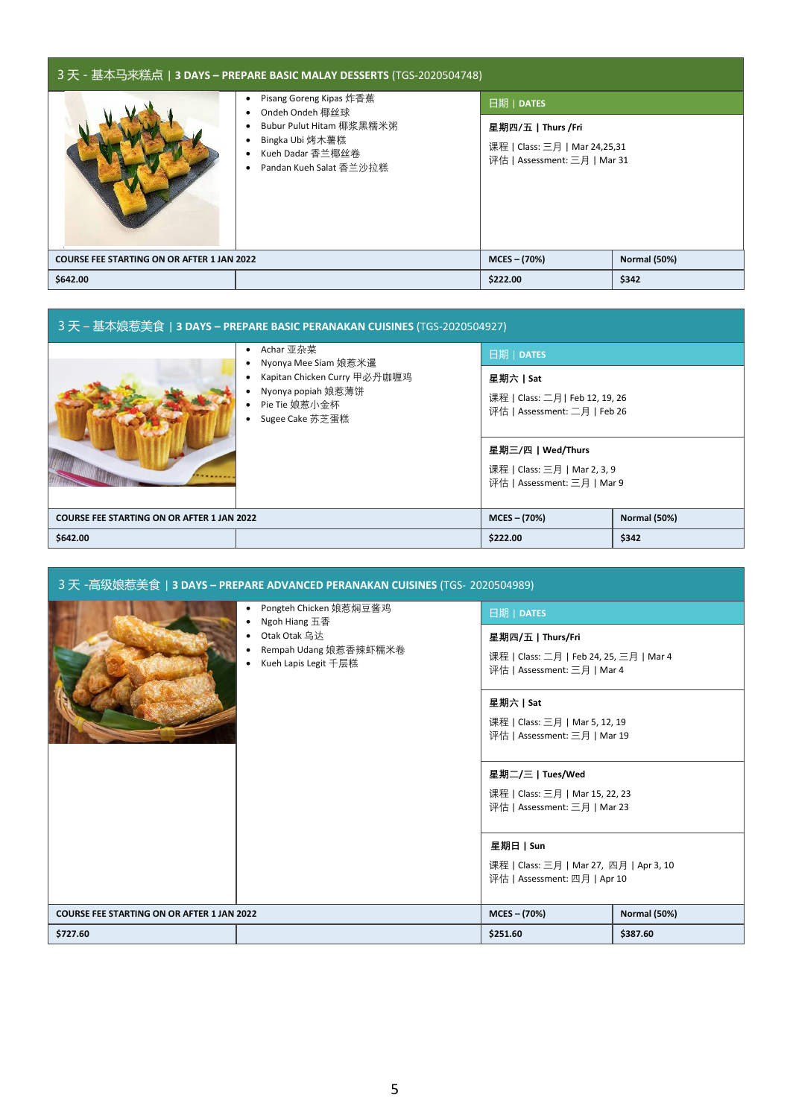| 3 天 - 基本马来糕点   <b>3 DAYS – PREPARE BASIC MALAY DESSERTS</b> (TGS-2020504748) |                                                                                                                                          |                                                                                     |                     |
|------------------------------------------------------------------------------|------------------------------------------------------------------------------------------------------------------------------------------|-------------------------------------------------------------------------------------|---------------------|
|                                                                              | Pisang Goreng Kipas 炸香蕉<br>Ondeh Ondeh 椰丝球<br>Bubur Pulut Hitam 椰浆黑糯米粥<br>Bingka Ubi 烤木薯糕<br>Kueh Dadar 香兰椰丝卷<br>Pandan Kueh Salat 香兰沙拉糕 | 日期   DATES                                                                          |                     |
|                                                                              |                                                                                                                                          | 星期四/五   Thurs /Fri<br>课程   Class: 三月   Mar 24,25,31<br>评估   Assessment: 三月   Mar 31 |                     |
| <b>COURSE FEE STARTING ON OR AFTER 1 JAN 2022</b>                            |                                                                                                                                          | $MCES - (70%)$                                                                      | <b>Normal (50%)</b> |
| \$642.00                                                                     |                                                                                                                                          | \$222.00                                                                            | \$342               |

| 3天 – 基本娘惹美食   3 DAYS – PREPARE BASIC PERANAKAN CUISINES (TGS-2020504927) |                                                                                                                             |                                                                                |                     |
|--------------------------------------------------------------------------|-----------------------------------------------------------------------------------------------------------------------------|--------------------------------------------------------------------------------|---------------------|
|                                                                          | Achar 亚杂菜<br>Nyonya Mee Siam 娘惹米暹<br>Kapitan Chicken Curry 甲必丹咖喱鸡<br>Nyonya popiah 娘惹薄饼<br>Pie Tie 娘惹小金杯<br>Sugee Cake 苏芝蛋糕 | 日期   DATES                                                                     |                     |
|                                                                          |                                                                                                                             | 星期六   Sat<br>课程   Class: 二月   Feb 12, 19, 26<br>评估   Assessment: 二月   Feb 26   |                     |
|                                                                          |                                                                                                                             | 星期三/四丨Wed/Thurs<br>课程   Class: 三月   Mar 2, 3, 9<br>评估   Assessment: 三月   Mar 9 |                     |
| <b>COURSE FEE STARTING ON OR AFTER 1 JAN 2022</b>                        |                                                                                                                             | $MCES - (70%)$                                                                 | <b>Normal (50%)</b> |
| \$642.00                                                                 |                                                                                                                             | \$222.00                                                                       | \$342               |

| _3 天 -高级娘惹美食   <b>3 DAYS – PREPARE ADVANCED PERANAKAN CUISINES</b> (TGS- 2020504989)                          |                                                                                     |                                                                                             |                     |
|---------------------------------------------------------------------------------------------------------------|-------------------------------------------------------------------------------------|---------------------------------------------------------------------------------------------|---------------------|
| Pongteh Chicken 娘惹焖豆酱鸡<br>٠<br>Ngoh Hiang 五香<br>Otak Otak 乌达<br>Rempah Udang 娘惹香辣虾糯米卷<br>Kueh Lapis Legit 千层糕 |                                                                                     | 日期   DATES                                                                                  |                     |
|                                                                                                               |                                                                                     | 星期四/五   Thurs/Fri<br>课程   Class: 二月   Feb 24, 25, 三月   Mar 4<br>评估   Assessment: 三月   Mar 4 |                     |
|                                                                                                               |                                                                                     | 星期六   Sat<br>课程   Class: 三月   Mar 5, 12, 19<br>评估   Assessment: 三月   Mar 19                 |                     |
|                                                                                                               | 星期二/三   Tues/Wed<br>课程   Class: 三月   Mar 15, 22, 23<br>评估   Assessment: 三月   Mar 23 |                                                                                             |                     |
|                                                                                                               |                                                                                     | 星期日   Sun<br>课程   Class: 三月   Mar 27, 四月   Apr 3, 10<br>评估   Assessment: 四月   Apr 10        |                     |
| <b>COURSE FEE STARTING ON OR AFTER 1 JAN 2022</b>                                                             |                                                                                     | $MCES - (70%)$                                                                              | <b>Normal (50%)</b> |
| \$727.60                                                                                                      |                                                                                     | \$251.60                                                                                    | \$387.60            |